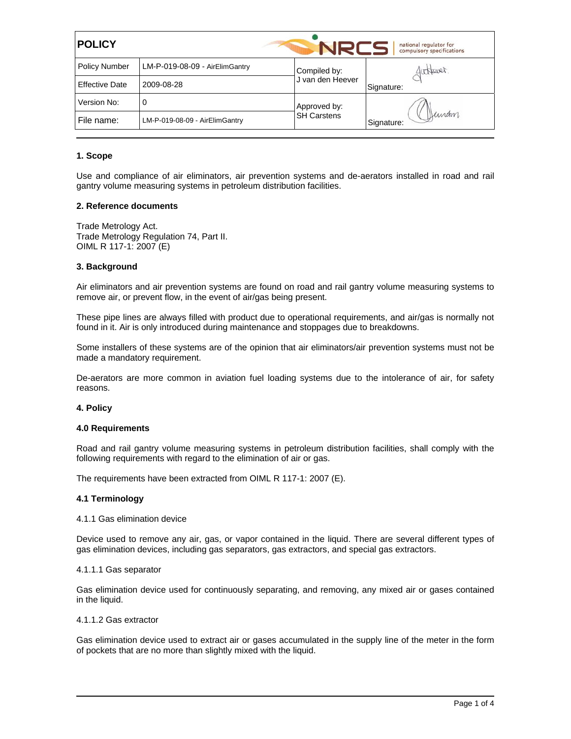| <b>POLICY</b>         |                                |                    | national regulator for<br>compulsory specifications |  |
|-----------------------|--------------------------------|--------------------|-----------------------------------------------------|--|
| <b>Policy Number</b>  | LM-P-019-08-09 - AirElimGantry | Compiled by:       | futbover.                                           |  |
| <b>Effective Date</b> | 2009-08-28                     | J van den Heever   | Signature:                                          |  |
| Version No:           | 0                              | Approved by:       |                                                     |  |
| File name:            | LM-P-019-08-09 - AirElimGantry | <b>SH Carstens</b> | Deman<br>Signature:                                 |  |

## **1. Scope**

Use and compliance of air eliminators, air prevention systems and de-aerators installed in road and rail gantry volume measuring systems in petroleum distribution facilities.

### **2. Reference documents**

Trade Metrology Act. Trade Metrology Regulation 74, Part II. OIML R 117-1: 2007 (E)

## **3. Background**

Air eliminators and air prevention systems are found on road and rail gantry volume measuring systems to remove air, or prevent flow, in the event of air/gas being present.

These pipe lines are always filled with product due to operational requirements, and air/gas is normally not found in it. Air is only introduced during maintenance and stoppages due to breakdowns.

Some installers of these systems are of the opinion that air eliminators/air prevention systems must not be made a mandatory requirement.

De-aerators are more common in aviation fuel loading systems due to the intolerance of air, for safety reasons.

#### **4. Policy**

#### **4.0 Requirements**

Road and rail gantry volume measuring systems in petroleum distribution facilities, shall comply with the following requirements with regard to the elimination of air or gas.

The requirements have been extracted from OIML R 117-1: 2007 (E).

### **4.1 Terminology**

#### 4.1.1 Gas elimination device

Device used to remove any air, gas, or vapor contained in the liquid. There are several different types of gas elimination devices, including gas separators, gas extractors, and special gas extractors.

#### 4.1.1.1 Gas separator

Gas elimination device used for continuously separating, and removing, any mixed air or gases contained in the liquid.

### 4.1.1.2 Gas extractor

Gas elimination device used to extract air or gases accumulated in the supply line of the meter in the form of pockets that are no more than slightly mixed with the liquid.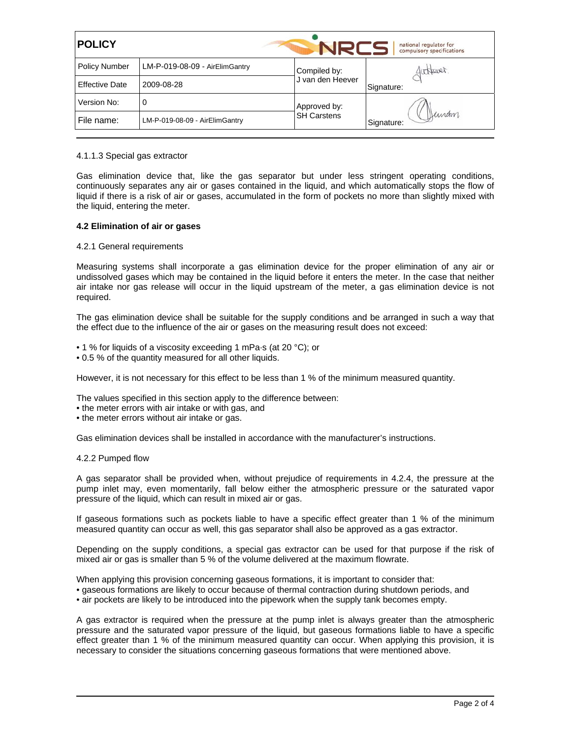| <b>POLICY</b>         |                                |                    | national regulator for<br>compulsory specifications |  |
|-----------------------|--------------------------------|--------------------|-----------------------------------------------------|--|
| <b>Policy Number</b>  | LM-P-019-08-09 - AirElimGantry | Compiled by:       | fortpover.                                          |  |
| <b>Effective Date</b> | 2009-08-28                     | J van den Heever   | Signature:                                          |  |
| Version No:           | 0                              | Approved by:       |                                                     |  |
| File name:            | LM-P-019-08-09 - AirElimGantry | <b>SH Carstens</b> | Deman<br>Signature:                                 |  |

### 4.1.1.3 Special gas extractor

Gas elimination device that, like the gas separator but under less stringent operating conditions, continuously separates any air or gases contained in the liquid, and which automatically stops the flow of liquid if there is a risk of air or gases, accumulated in the form of pockets no more than slightly mixed with the liquid, entering the meter.

### **4.2 Elimination of air or gases**

## 4.2.1 General requirements

Measuring systems shall incorporate a gas elimination device for the proper elimination of any air or undissolved gases which may be contained in the liquid before it enters the meter. In the case that neither air intake nor gas release will occur in the liquid upstream of the meter, a gas elimination device is not required.

The gas elimination device shall be suitable for the supply conditions and be arranged in such a way that the effect due to the influence of the air or gases on the measuring result does not exceed:

- 1 % for liquids of a viscosity exceeding 1 mPa-s (at 20 °C); or
- 0.5 % of the quantity measured for all other liquids.

However, it is not necessary for this effect to be less than 1 % of the minimum measured quantity.

The values specified in this section apply to the difference between:

- the meter errors with air intake or with gas, and
- the meter errors without air intake or gas.

Gas elimination devices shall be installed in accordance with the manufacturer's instructions.

#### 4.2.2 Pumped flow

A gas separator shall be provided when, without prejudice of requirements in 4.2.4, the pressure at the pump inlet may, even momentarily, fall below either the atmospheric pressure or the saturated vapor pressure of the liquid, which can result in mixed air or gas.

If gaseous formations such as pockets liable to have a specific effect greater than 1 % of the minimum measured quantity can occur as well, this gas separator shall also be approved as a gas extractor.

Depending on the supply conditions, a special gas extractor can be used for that purpose if the risk of mixed air or gas is smaller than 5 % of the volume delivered at the maximum flowrate.

When applying this provision concerning gaseous formations, it is important to consider that:

- gaseous formations are likely to occur because of thermal contraction during shutdown periods, and
- air pockets are likely to be introduced into the pipework when the supply tank becomes empty.

A gas extractor is required when the pressure at the pump inlet is always greater than the atmospheric pressure and the saturated vapor pressure of the liquid, but gaseous formations liable to have a specific effect greater than 1 % of the minimum measured quantity can occur. When applying this provision, it is necessary to consider the situations concerning gaseous formations that were mentioned above.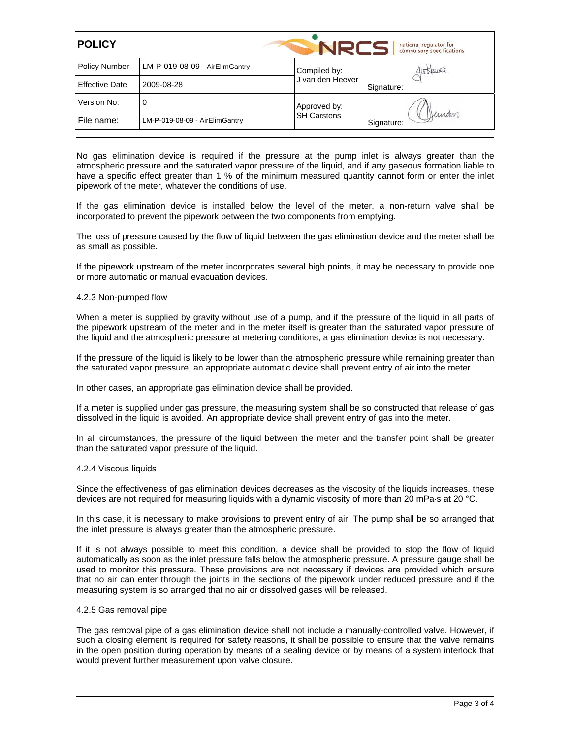| <b>POLICY</b>         |                                |                    | national regulator for<br>compulsory specifications |
|-----------------------|--------------------------------|--------------------|-----------------------------------------------------|
| <b>Policy Number</b>  | LM-P-019-08-09 - AirElimGantry | Compiled by:       | futbover.                                           |
| <b>Effective Date</b> | 2009-08-28                     | J van den Heever   | Signature:                                          |
| Version No:           | 0                              | Approved by:       |                                                     |
| File name:            | LM-P-019-08-09 - AirElimGantry | <b>SH Carstens</b> | Heinam<br>Signature:                                |

No gas elimination device is required if the pressure at the pump inlet is always greater than the atmospheric pressure and the saturated vapor pressure of the liquid, and if any gaseous formation liable to have a specific effect greater than 1 % of the minimum measured quantity cannot form or enter the inlet pipework of the meter, whatever the conditions of use.

If the gas elimination device is installed below the level of the meter, a non-return valve shall be incorporated to prevent the pipework between the two components from emptying.

The loss of pressure caused by the flow of liquid between the gas elimination device and the meter shall be as small as possible.

If the pipework upstream of the meter incorporates several high points, it may be necessary to provide one or more automatic or manual evacuation devices.

### 4.2.3 Non-pumped flow

When a meter is supplied by gravity without use of a pump, and if the pressure of the liquid in all parts of the pipework upstream of the meter and in the meter itself is greater than the saturated vapor pressure of the liquid and the atmospheric pressure at metering conditions, a gas elimination device is not necessary.

If the pressure of the liquid is likely to be lower than the atmospheric pressure while remaining greater than the saturated vapor pressure, an appropriate automatic device shall prevent entry of air into the meter.

In other cases, an appropriate gas elimination device shall be provided.

If a meter is supplied under gas pressure, the measuring system shall be so constructed that release of gas dissolved in the liquid is avoided. An appropriate device shall prevent entry of gas into the meter.

In all circumstances, the pressure of the liquid between the meter and the transfer point shall be greater than the saturated vapor pressure of the liquid.

#### 4.2.4 Viscous liquids

Since the effectiveness of gas elimination devices decreases as the viscosity of the liquids increases, these devices are not required for measuring liquids with a dynamic viscosity of more than 20 mPa·s at 20 °C.

In this case, it is necessary to make provisions to prevent entry of air. The pump shall be so arranged that the inlet pressure is always greater than the atmospheric pressure.

If it is not always possible to meet this condition, a device shall be provided to stop the flow of liquid automatically as soon as the inlet pressure falls below the atmospheric pressure. A pressure gauge shall be used to monitor this pressure. These provisions are not necessary if devices are provided which ensure that no air can enter through the joints in the sections of the pipework under reduced pressure and if the measuring system is so arranged that no air or dissolved gases will be released.

### 4.2.5 Gas removal pipe

The gas removal pipe of a gas elimination device shall not include a manually-controlled valve. However, if such a closing element is required for safety reasons, it shall be possible to ensure that the valve remains in the open position during operation by means of a sealing device or by means of a system interlock that would prevent further measurement upon valve closure.